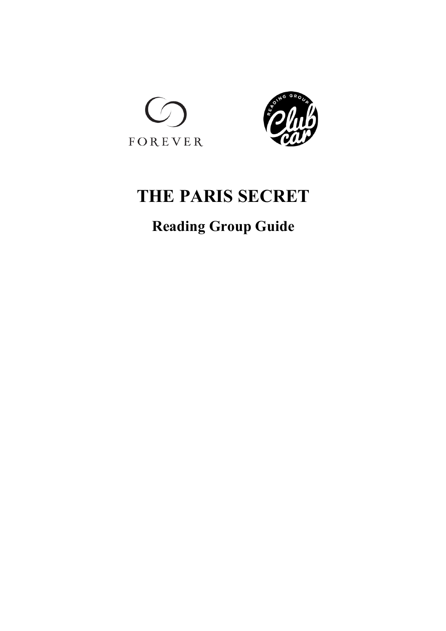



# **THE PARIS SECRET**

# **Reading Group Guide**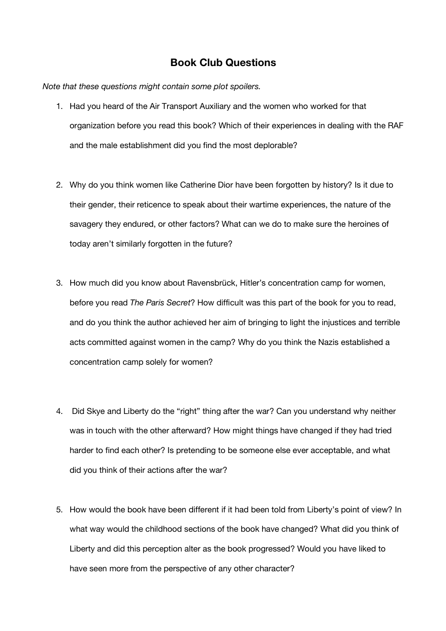## **Book Club Questions**

*Note that these questions might contain some plot spoilers.*

- 1. Had you heard of the Air Transport Auxiliary and the women who worked for that organization before you read this book? Which of their experiences in dealing with the RAF and the male establishment did you find the most deplorable?
- 2. Why do you think women like Catherine Dior have been forgotten by history? Is it due to their gender, their reticence to speak about their wartime experiences, the nature of the savagery they endured, or other factors? What can we do to make sure the heroines of today aren't similarly forgotten in the future?
- 3. How much did you know about Ravensbrück, Hitler's concentration camp for women, before you read *The Paris Secret*? How difficult was this part of the book for you to read, and do you think the author achieved her aim of bringing to light the injustices and terrible acts committed against women in the camp? Why do you think the Nazis established a concentration camp solely for women?
- 4. Did Skye and Liberty do the "right" thing after the war? Can you understand why neither was in touch with the other afterward? How might things have changed if they had tried harder to find each other? Is pretending to be someone else ever acceptable, and what did you think of their actions after the war?
- 5. How would the book have been different if it had been told from Liberty's point of view? In what way would the childhood sections of the book have changed? What did you think of Liberty and did this perception alter as the book progressed? Would you have liked to have seen more from the perspective of any other character?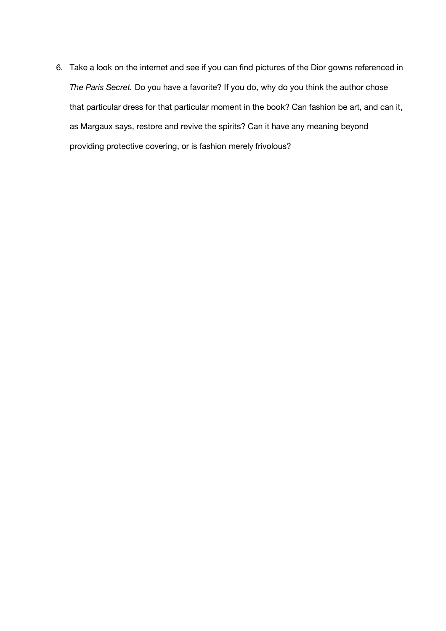6. Take a look on the internet and see if you can find pictures of the Dior gowns referenced in *The Paris Secret.* Do you have a favorite? If you do, why do you think the author chose that particular dress for that particular moment in the book? Can fashion be art, and can it, as Margaux says, restore and revive the spirits? Can it have any meaning beyond providing protective covering, or is fashion merely frivolous?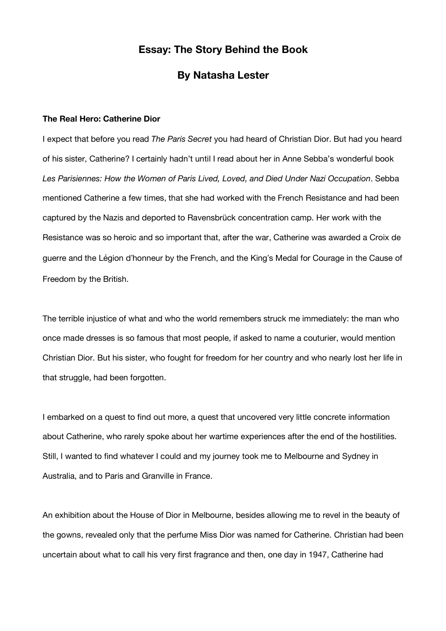## **Essay: The Story Behind the Book**

## **By Natasha Lester**

### **The Real Hero: Catherine Dior**

I expect that before you read *The Paris Secret* you had heard of Christian Dior. But had you heard of his sister, Catherine? I certainly hadn't until I read about her in Anne Sebba's wonderful book *Les Parisiennes: How the Women of Paris Lived, Loved, and Died Under Nazi Occupation*. Sebba mentioned Catherine a few times, that she had worked with the French Resistance and had been captured by the Nazis and deported to Ravensbrück concentration camp. Her work with the Resistance was so heroic and so important that, after the war, Catherine was awarded a Croix de guerre and the Légion d'honneur by the French, and the King's Medal for Courage in the Cause of Freedom by the British.

The terrible injustice of what and who the world remembers struck me immediately: the man who once made dresses is so famous that most people, if asked to name a couturier, would mention Christian Dior. But his sister, who fought for freedom for her country and who nearly lost her life in that struggle, had been forgotten.

I embarked on a quest to find out more, a quest that uncovered very little concrete information about Catherine, who rarely spoke about her wartime experiences after the end of the hostilities. Still, I wanted to find whatever I could and my journey took me to Melbourne and Sydney in Australia, and to Paris and Granville in France.

An exhibition about the House of Dior in Melbourne, besides allowing me to revel in the beauty of the gowns, revealed only that the perfume Miss Dior was named for Catherine. Christian had been uncertain about what to call his very first fragrance and then, one day in 1947, Catherine had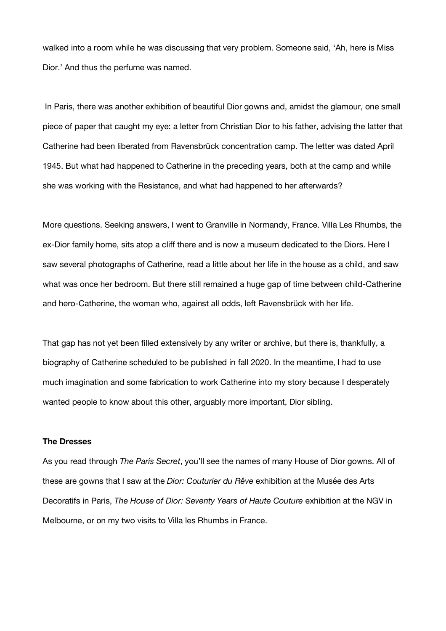walked into a room while he was discussing that very problem. Someone said, 'Ah, here is Miss Dior.' And thus the perfume was named.

In Paris, there was another exhibition of beautiful Dior gowns and, amidst the glamour, one small piece of paper that caught my eye: a letter from Christian Dior to his father, advising the latter that Catherine had been liberated from Ravensbrück concentration camp. The letter was dated April 1945. But what had happened to Catherine in the preceding years, both at the camp and while she was working with the Resistance, and what had happened to her afterwards?

More questions. Seeking answers, I went to Granville in Normandy, France. Villa Les Rhumbs, the ex-Dior family home, sits atop a cliff there and is now a museum dedicated to the Diors. Here I saw several photographs of Catherine, read a little about her life in the house as a child, and saw what was once her bedroom. But there still remained a huge gap of time between child-Catherine and hero-Catherine, the woman who, against all odds, left Ravensbrück with her life.

That gap has not yet been filled extensively by any writer or archive, but there is, thankfully, a biography of Catherine scheduled to be published in fall 2020. In the meantime, I had to use much imagination and some fabrication to work Catherine into my story because I desperately wanted people to know about this other, arguably more important, Dior sibling.

#### **The Dresses**

As you read through *The Paris Secret*, you'll see the names of many House of Dior gowns. All of these are gowns that I saw at the *Dior: Couturier du Rêve* exhibition at the Musée des Arts Decoratifs in Paris, *The House of Dior: Seventy Years of Haute Couture* exhibition at the NGV in Melbourne, or on my two visits to Villa les Rhumbs in France.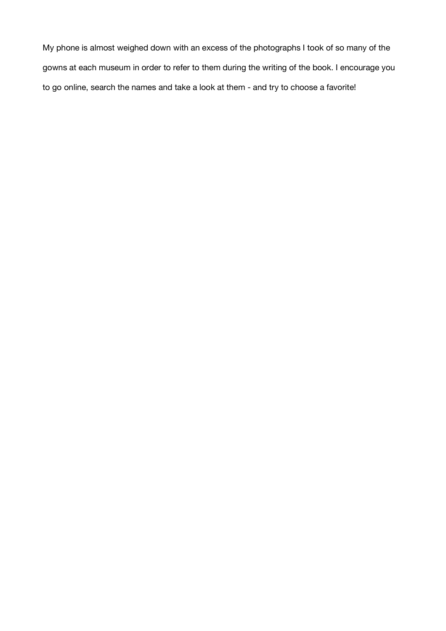My phone is almost weighed down with an excess of the photographs I took of so many of the gowns at each museum in order to refer to them during the writing of the book. I encourage you to go online, search the names and take a look at them - and try to choose a favorite!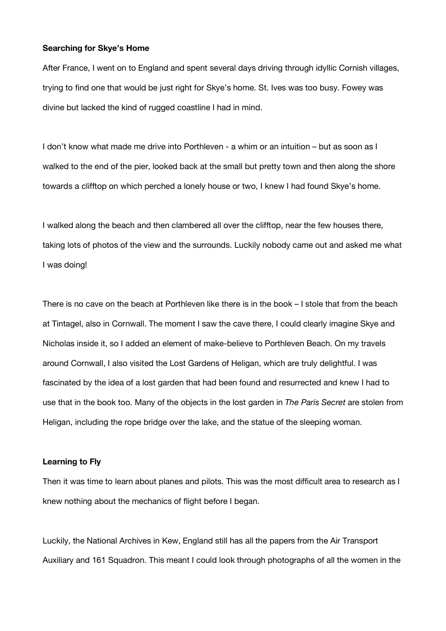### **Searching for Skye's Home**

After France, I went on to England and spent several days driving through idyllic Cornish villages, trying to find one that would be just right for Skye's home. St. Ives was too busy. Fowey was divine but lacked the kind of rugged coastline I had in mind.

I don't know what made me drive into Porthleven - a whim or an intuition – but as soon as I walked to the end of the pier, looked back at the small but pretty town and then along the shore towards a clifftop on which perched a lonely house or two, I knew I had found Skye's home.

I walked along the beach and then clambered all over the clifftop, near the few houses there, taking lots of photos of the view and the surrounds. Luckily nobody came out and asked me what I was doing!

There is no cave on the beach at Porthleven like there is in the book – I stole that from the beach at Tintagel, also in Cornwall. The moment I saw the cave there, I could clearly imagine Skye and Nicholas inside it, so I added an element of make-believe to Porthleven Beach. On my travels around Cornwall, I also visited the Lost Gardens of Heligan, which are truly delightful. I was fascinated by the idea of a lost garden that had been found and resurrected and knew I had to use that in the book too. Many of the objects in the lost garden in *The Paris Secret* are stolen from Heligan, including the rope bridge over the lake, and the statue of the sleeping woman.

#### **Learning to Fly**

Then it was time to learn about planes and pilots. This was the most difficult area to research as I knew nothing about the mechanics of flight before I began.

Luckily, the National Archives in Kew, England still has all the papers from the Air Transport Auxiliary and 161 Squadron. This meant I could look through photographs of all the women in the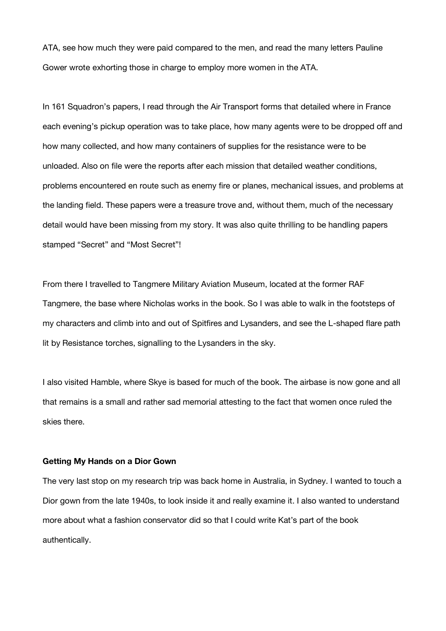ATA, see how much they were paid compared to the men, and read the many letters Pauline Gower wrote exhorting those in charge to employ more women in the ATA.

In 161 Squadron's papers, I read through the Air Transport forms that detailed where in France each evening's pickup operation was to take place, how many agents were to be dropped off and how many collected, and how many containers of supplies for the resistance were to be unloaded. Also on file were the reports after each mission that detailed weather conditions, problems encountered en route such as enemy fire or planes, mechanical issues, and problems at the landing field. These papers were a treasure trove and, without them, much of the necessary detail would have been missing from my story. It was also quite thrilling to be handling papers stamped "Secret" and "Most Secret"!

From there I travelled to Tangmere Military Aviation Museum, located at the former RAF Tangmere, the base where Nicholas works in the book. So I was able to walk in the footsteps of my characters and climb into and out of Spitfires and Lysanders, and see the L-shaped flare path lit by Resistance torches, signalling to the Lysanders in the sky.

I also visited Hamble, where Skye is based for much of the book. The airbase is now gone and all that remains is a small and rather sad memorial attesting to the fact that women once ruled the skies there.

### **Getting My Hands on a Dior Gown**

The very last stop on my research trip was back home in Australia, in Sydney. I wanted to touch a Dior gown from the late 1940s, to look inside it and really examine it. I also wanted to understand more about what a fashion conservator did so that I could write Kat's part of the book authentically.